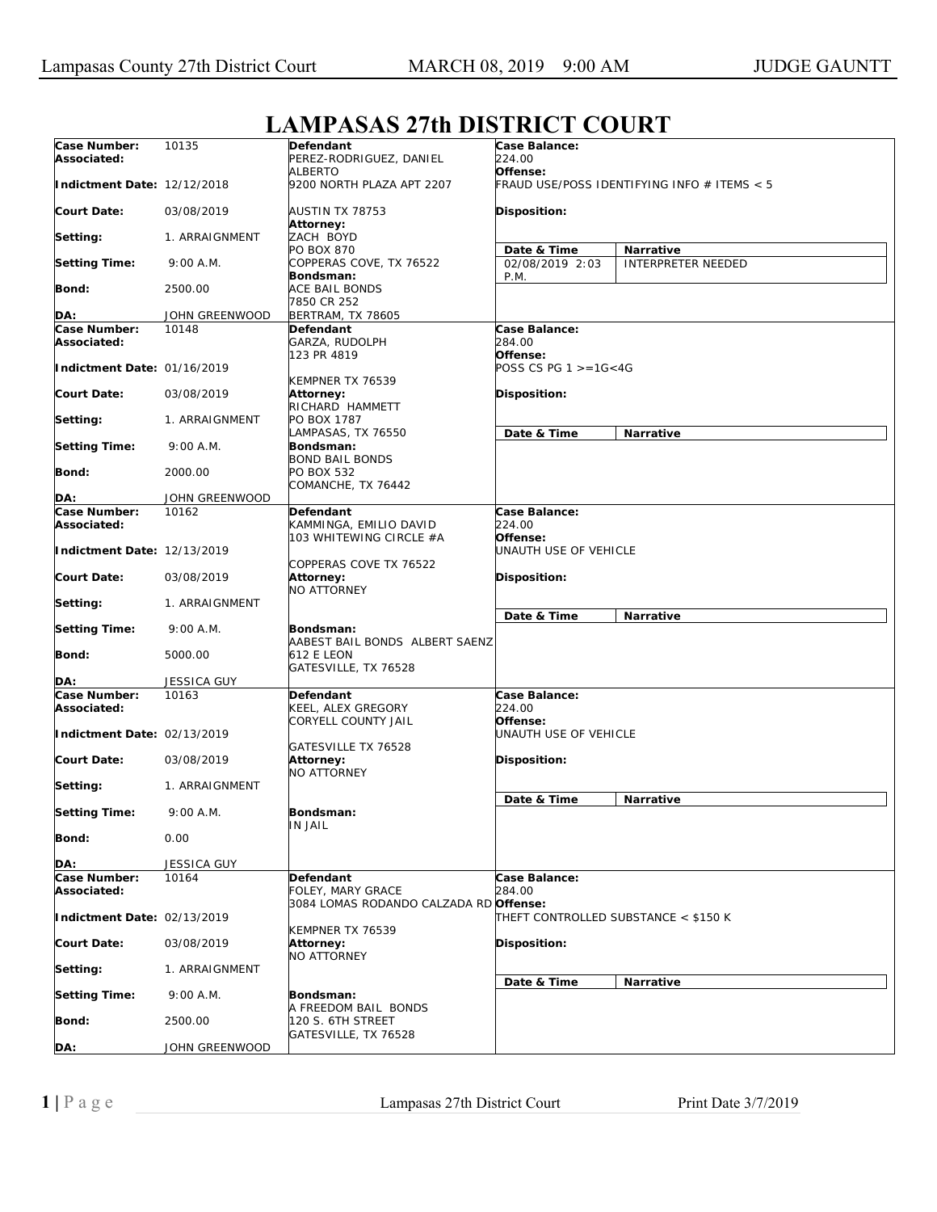## **Case Number: Associated: Indictment Date:**  12/12/2018 **Court Date: Setting: Setting Time: Bond: DA:** 10135 03/08/2019 1. ARRAIGNMENT 9:00 A.M. 2500.00 JOHN GREENWOOD **Defendant**  PEREZ-RODRIGUEZ, DANIEL ALBERTO 9200 NORTH PLAZA APT 2207 AUSTIN TX 78753 **Attorney:**  ZACH BOYD PO BOX 870 COPPERAS COVE, TX 76522 **Bondsman:**  ACE BAIL BONDS 7850 CR 252 BERTRAM, TX 78605 **Case Balance:**  *224.00*  **Offense:**  *FRAUD USE/POSS IDENTIFYING INFO # ITEMS < 5*  **Disposition: Date & Time Narrative** 02/08/2019 2:03 P.M. INTERPRETER NEEDED **Case Number: Associated: Indictment Date:**  01/16/2019 **Court Date: Setting: Setting Time: Bond: DA:** 10148 03/08/2019 1. ARRAIGNMENT 9:00 A.M. 2000.00 JOHN GREENWOOD **Defendant**  GARZA, RUDOLPH 123 PR 4819 KEMPNER TX 76539 **Attorney:**  RICHARD HAMMETT PO BOX 1787 LAMPASAS, TX 76550 **Bondsman:**  BOND BAIL BONDS PO BOX 532 COMANCHE, TX 76442 **Case Balance:**  *284.00*  **Offense:**  *POSS CS PG 1 >=1G<4G*  **Disposition: Date & Time Narrative Case Number: Associated: Indictment Date:**  12/13/2019 **Court Date: Setting: Setting Time: Bond: DA:** 10162 03/08/2019 1. ARRAIGNMENT 9:00 A.M. 5000.00 JESSICA GUY **Defendant**  KAMMINGA, EMILIO DAVID 103 WHITEWING CIRCLE #A COPPERAS COVE TX 76522 **Attorney:**  NO ATTORNEY **Bondsman:**  AABEST BAIL BONDS ALBERT SAENZ 612 E LEON GATESVILLE, TX 76528 **Case Balance:**  *224.00*  **Offense:**  *UNAUTH USE OF VEHICLE*  **Disposition: Date & Time Narrative Case Number: Associated: Indictment Date:**  02/13/2019 **Court Date: Setting: Setting Time: Bond: DA:** 10163 03/08/2019 1. ARRAIGNMENT 9:00 A.M.  $0.00$ JESSICA GUY **Defendant**  KEEL, ALEX GREGORY CORYELL COUNTY JAIL GATESVILLE TX 76528 **Attorney:**  NO ATTORNEY **Bondsman:**  IN JAIL **Case Balance:**  *224.00*  **Offense:**  *UNAUTH USE OF VEHICLE*  **Disposition: Date & Time Narrative Case Number: Associated: Indictment Date:**  02/13/2019 **Court Date: Setting: Setting Time: Bond: DA:** 10164 03/08/2019 1. ARRAIGNMENT 9:00 A.M. 2500.00 JOHN GREENWOOD **Defendant**  FOLEY, MARY GRACE 3084 LOMAS RODANDO CALZADA RD KEMPNER TX 76539 **Attorney:**  NO ATTORNEY **Bondsman:**  A FREEDOM BAIL BONDS 120 S. 6TH STREET GATESVILLE, TX 76528 **Case Balance:**  *284.00*  **Offense:**  *THEFT CONTROLLED SUBSTANCE < \$150 K*  **Disposition: Date & Time Narrative**

## **LAMPASAS 27th DISTRICT COURT**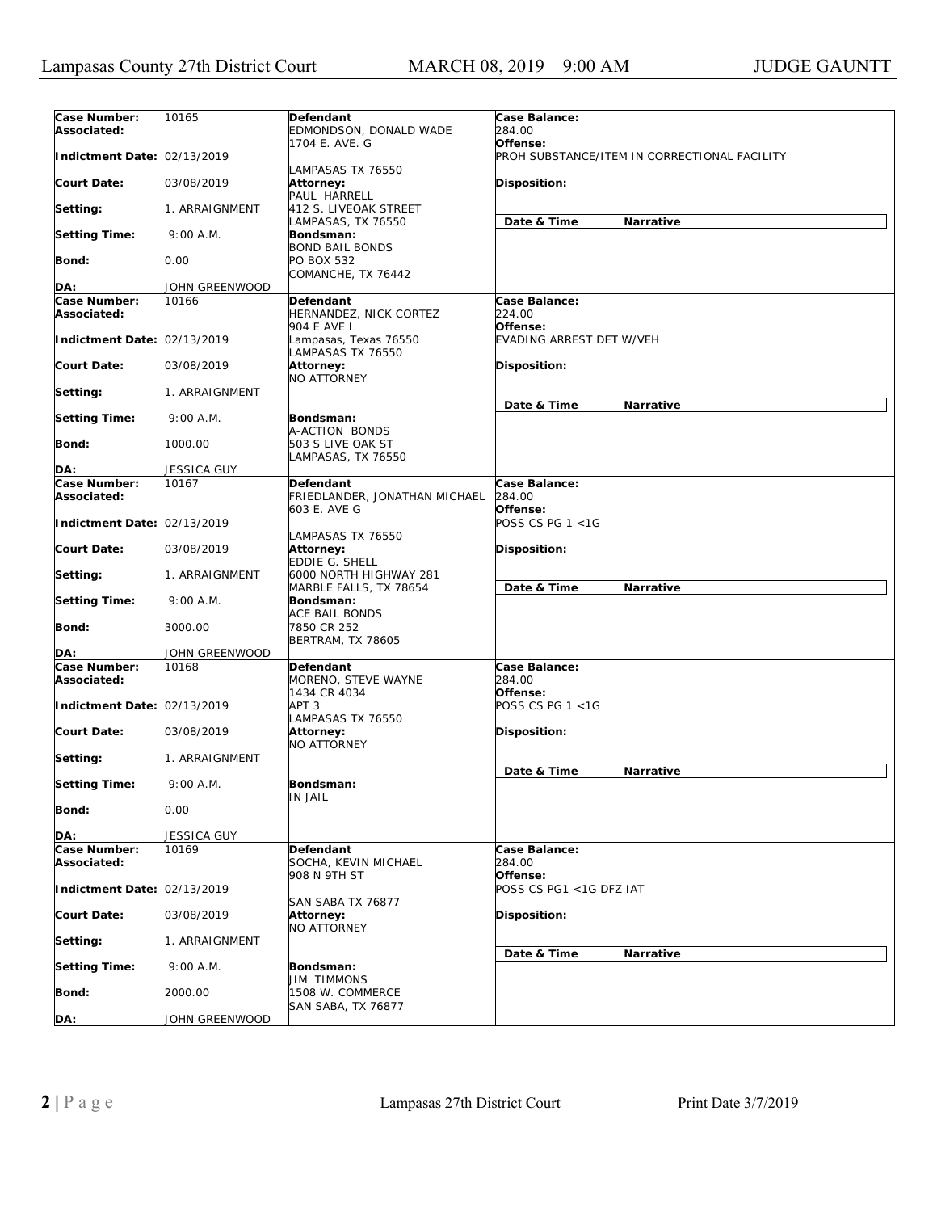| Case Number:                | 10165          | Defendant                                   | Case Balance:                   |                                              |
|-----------------------------|----------------|---------------------------------------------|---------------------------------|----------------------------------------------|
| Associated:                 |                | EDMONDSON, DONALD WADE                      | 284.00                          |                                              |
|                             |                | 1704 E. AVE. G                              | Offense:                        |                                              |
| Indictment Date: 02/13/2019 |                |                                             |                                 | PROH SUBSTANCE/ITEM IN CORRECTIONAL FACILITY |
|                             |                | LAMPASAS TX 76550                           |                                 |                                              |
| Court Date:                 | 03/08/2019     | Attorney:                                   | <b>Disposition:</b>             |                                              |
|                             |                | PAUL HARRELL                                |                                 |                                              |
| Setting:                    | 1. ARRAIGNMENT | 412 S. LIVEOAK STREET<br>LAMPASAS, TX 76550 | Date & Time                     | Narrative                                    |
| <b>Setting Time:</b>        | 9:00 A.M.      | Bondsman:                                   |                                 |                                              |
|                             |                | <b>BOND BAIL BONDS</b>                      |                                 |                                              |
| Bond:                       | 0.00           | PO BOX 532                                  |                                 |                                              |
|                             |                | COMANCHE, TX 76442                          |                                 |                                              |
| DA:                         | JOHN GREENWOOD |                                             |                                 |                                              |
| Case Number:                | 10166          | Defendant                                   | Case Balance:                   |                                              |
| Associated:                 |                | HERNANDEZ, NICK CORTEZ<br>904 E AVE I       | 224.00<br>Offense:              |                                              |
| Indictment Date: 02/13/2019 |                | Lampasas, Texas 76550                       | <b>EVADING ARREST DET W/VEH</b> |                                              |
|                             |                | LAMPASAS TX 76550                           |                                 |                                              |
| Court Date:                 | 03/08/2019     | Attorney:                                   | <b>Disposition:</b>             |                                              |
|                             |                | NO ATTORNEY                                 |                                 |                                              |
| Setting:                    | 1. ARRAIGNMENT |                                             |                                 |                                              |
|                             |                |                                             | Date & Time                     | Narrative                                    |
| <b>Setting Time:</b>        | 9:00 A.M.      | Bondsman:                                   |                                 |                                              |
|                             |                | A-ACTION BONDS                              |                                 |                                              |
| Bond:                       | 1000.00        | 503 S LIVE OAK ST<br>LAMPASAS, TX 76550     |                                 |                                              |
| DA:                         | JESSICA GUY    |                                             |                                 |                                              |
| Case Number:                | 10167          | Defendant                                   | Case Balance:                   |                                              |
| Associated:                 |                | FRIEDLANDER, JONATHAN MICHAEL               | 284.00                          |                                              |
|                             |                | 603 E. AVE G                                | Offense:                        |                                              |
| Indictment Date: 02/13/2019 |                |                                             | POSS CS PG 1 <1G                |                                              |
|                             |                | LAMPASAS TX 76550                           |                                 |                                              |
| Court Date:                 | 03/08/2019     | Attorney:                                   | <b>Disposition:</b>             |                                              |
| Setting:                    | 1. ARRAIGNMENT | EDDIE G. SHELL<br>6000 NORTH HIGHWAY 281    |                                 |                                              |
|                             |                | MARBLE FALLS, TX 78654                      | Date & Time                     | Narrative                                    |
| <b>Setting Time:</b>        | 9:00 A.M.      | Bondsman:                                   |                                 |                                              |
|                             |                | ACE BAIL BONDS                              |                                 |                                              |
| Bond:                       | 3000.00        | 7850 CR 252                                 |                                 |                                              |
|                             |                | <b>BERTRAM, TX 78605</b>                    |                                 |                                              |
| DA:                         | JOHN GREENWOOD |                                             |                                 |                                              |
| Case Number:                | 10168          | Defendant                                   | Case Balance:<br>284.00         |                                              |
| Associated:                 |                | MORENO, STEVE WAYNE<br>1434 CR 4034         | Offense:                        |                                              |
| Indictment Date: 02/13/2019 |                | APT 3                                       | POSS CS PG 1 <1G                |                                              |
|                             |                | LAMPASAS TX 76550                           |                                 |                                              |
| Court Date:                 | 03/08/2019     | Attorney:                                   | <b>Disposition:</b>             |                                              |
|                             |                | NO ATTORNEY                                 |                                 |                                              |
| Setting:                    | 1. ARRAIGNMENT |                                             |                                 |                                              |
|                             |                |                                             | Date & Time                     | Narrative                                    |
| <b>Setting Time:</b>        | 9:00 A.M.      | Bondsman:                                   |                                 |                                              |
| <b>Bond:</b>                | 0.00           | IN JAIL                                     |                                 |                                              |
|                             |                |                                             |                                 |                                              |
| DA:                         | JESSICA GUY    |                                             |                                 |                                              |
| Case Number:                | 10169          | Defendant                                   | Case Balance:                   |                                              |
| Associated:                 |                | SOCHA, KEVIN MICHAEL                        | 284.00                          |                                              |
|                             |                | 908 N 9TH ST                                | Offense:                        |                                              |
| Indictment Date: 02/13/2019 |                |                                             | POSS CS PG1 <1G DFZ IAT         |                                              |
|                             | 03/08/2019     | SAN SABA TX 76877                           | Disposition:                    |                                              |
| <b>Court Date:</b>          |                | Attorney:<br>NO ATTORNEY                    |                                 |                                              |
| Setting:                    | 1. ARRAIGNMENT |                                             |                                 |                                              |
|                             |                |                                             | Date & Time                     | Narrative                                    |
| <b>Setting Time:</b>        | 9:00 A.M.      | Bondsman:                                   |                                 |                                              |
|                             |                | JIM TIMMONS                                 |                                 |                                              |
| <b>Bond:</b>                | 2000.00        | 1508 W. COMMERCE                            |                                 |                                              |
|                             |                | SAN SABA, TX 76877                          |                                 |                                              |
| DA:                         | JOHN GREENWOOD |                                             |                                 |                                              |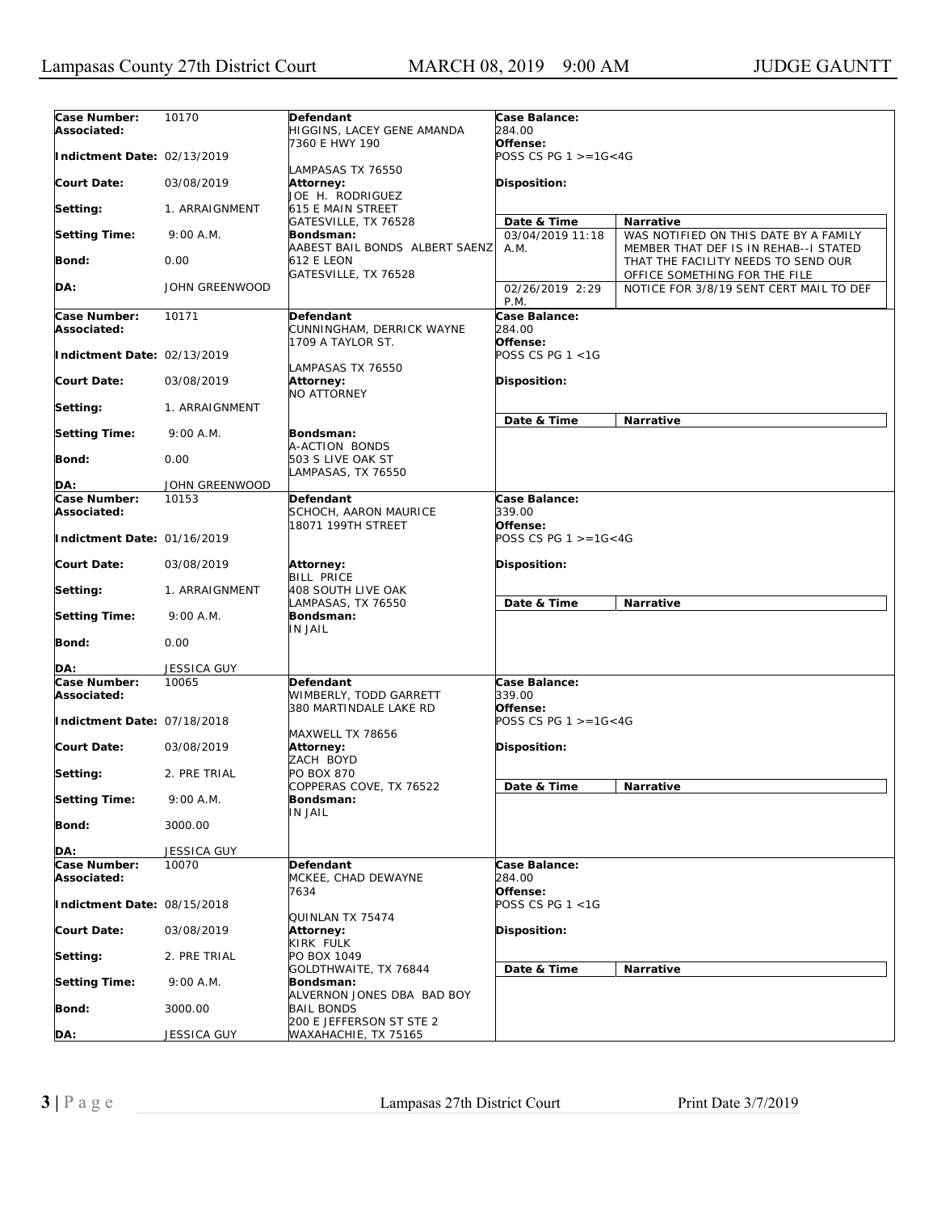| Case Number:<br>Associated: | 10170                 | Defendant<br>HIGGINS, LACEY GENE AMANDA                         | Case Balance:<br>284.00                |                                                                                |
|-----------------------------|-----------------------|-----------------------------------------------------------------|----------------------------------------|--------------------------------------------------------------------------------|
| Indictment Date: 02/13/2019 |                       | 7360 E HWY 190                                                  | Offense:<br>POSS CS PG $1 > = 16 < 4G$ |                                                                                |
| Court Date:                 | 03/08/2019            | LAMPASAS TX 76550<br>Attorney:<br>JOE H. RODRIGUEZ              | Disposition:                           |                                                                                |
| Setting:                    | 1. ARRAIGNMENT        | 615 E MAIN STREET<br>GATESVILLE, TX 76528                       | Date & Time                            | Narrative                                                                      |
| <b>Setting Time:</b>        | 9:00 A.M.             | Bondsman:<br>AABEST BAIL BONDS ALBERT SAENZ                     | 03/04/2019 11:18<br>A.M.               | WAS NOTIFIED ON THIS DATE BY A FAMILY<br>MEMBER THAT DEF IS IN REHAB--I STATED |
| Bond:                       | 0.00                  | 612 E LEON<br>GATESVILLE, TX 76528                              |                                        | THAT THE FACILITY NEEDS TO SEND OUR<br>OFFICE SOMETHING FOR THE FILE           |
| DA:                         | <b>JOHN GREENWOOD</b> |                                                                 | 02/26/2019 2:29<br>P.M.                | NOTICE FOR 3/8/19 SENT CERT MAIL TO DEF                                        |
| Case Number:<br>Associated: | 10171                 | Defendant<br>CUNNINGHAM, DERRICK WAYNE                          | Case Balance:<br>284.00                |                                                                                |
| Indictment Date: 02/13/2019 |                       | 1709 A TAYLOR ST.                                               | Offense:<br>POSS CS PG 1 <1G           |                                                                                |
| Court Date:                 | 03/08/2019            | LAMPASAS TX 76550<br>Attorney:<br>NO ATTORNEY                   | Disposition:                           |                                                                                |
| Setting:                    | 1. ARRAIGNMENT        |                                                                 | Date & Time                            | Narrative                                                                      |
| <b>Setting Time:</b>        | 9:00 A.M.             | Bondsman:<br>A-ACTION BONDS                                     |                                        |                                                                                |
| <b>Bond:</b>                | 0.00                  | 503 S LIVE OAK ST<br>LAMPASAS, TX 76550                         |                                        |                                                                                |
| DA:                         | JOHN GREENWOOD        |                                                                 |                                        |                                                                                |
| Case Number:<br>Associated: | 10153                 | <b>Defendant</b><br>SCHOCH, AARON MAURICE<br>18071 199TH STREET | Case Balance:<br>339.00<br>Offense:    |                                                                                |
| Indictment Date: 01/16/2019 |                       |                                                                 | POSS CS PG 1 >=1G<4G                   |                                                                                |
| Court Date:                 | 03/08/2019            | Attorney:<br><b>BILL PRICE</b>                                  | Disposition:                           |                                                                                |
| Setting:                    | 1. ARRAIGNMENT        | <b>408 SOUTH LIVE OAK</b><br>LAMPASAS, TX 76550                 | Date & Time                            | <b>Narrative</b>                                                               |
| <b>Setting Time:</b>        | 9:00 A.M.             | Bondsman:<br>IN JAIL                                            |                                        |                                                                                |
| <b>Bond:</b>                | 0.00                  |                                                                 |                                        |                                                                                |
| DA:                         | <b>JESSICA GUY</b>    |                                                                 |                                        |                                                                                |
| Case Number:                | 10065                 | <b>Defendant</b>                                                | Case Balance:                          |                                                                                |
| Associated:                 |                       | WIMBERLY, TODD GARRETT<br>380 MARTINDALE LAKE RD                | 339.00<br>Offense:                     |                                                                                |
| Indictment Date: 07/18/2018 |                       | MAXWELL TX 78656                                                | POSS CS PG 1 >=1G<4G                   |                                                                                |
| <b>Court Date:</b>          | 03/08/2019            | Attorney:<br>ZACH BOYD                                          | Disposition:                           |                                                                                |
| Setting:                    | 2. PRE TRIAL          | PO BOX 870<br>COPPERAS COVE, TX 76522                           | Date & Time                            | <b>Narrative</b>                                                               |
| <b>Setting Time:</b>        | 9:00 A.M.             | Bondsman:<br>IN JAIL                                            |                                        |                                                                                |
| Bond:                       | 3000.00               |                                                                 |                                        |                                                                                |
| DA:                         | JESSICA GUY           |                                                                 |                                        |                                                                                |
| Case Number:<br>Associated: | 10070                 | Defendant<br>MCKEE, CHAD DEWAYNE<br>7634                        | Case Balance:<br>284.00<br>Offense:    |                                                                                |
| Indictment Date: 08/15/2018 |                       |                                                                 | POSS CS PG 1 <1G                       |                                                                                |
| <b>Court Date:</b>          | 03/08/2019            | QUINLAN TX 75474<br>Attorney:<br>KIRK FULK                      | Disposition:                           |                                                                                |
| Setting:                    | 2. PRE TRIAL          | PO BOX 1049<br>GOLDTHWAITE, TX 76844                            | Date & Time                            | Narrative                                                                      |
| <b>Setting Time:</b>        | 9:00 A.M.             | Bondsman:                                                       |                                        |                                                                                |
| Bond:                       | 3000.00               | ALVERNON JONES DBA BAD BOY<br><b>BAIL BONDS</b>                 |                                        |                                                                                |
| <u>DA:</u>                  | JESSICA GUY           | 200 E JEFFERSON ST STE 2<br>WAXAHACHIE, TX 75165                |                                        |                                                                                |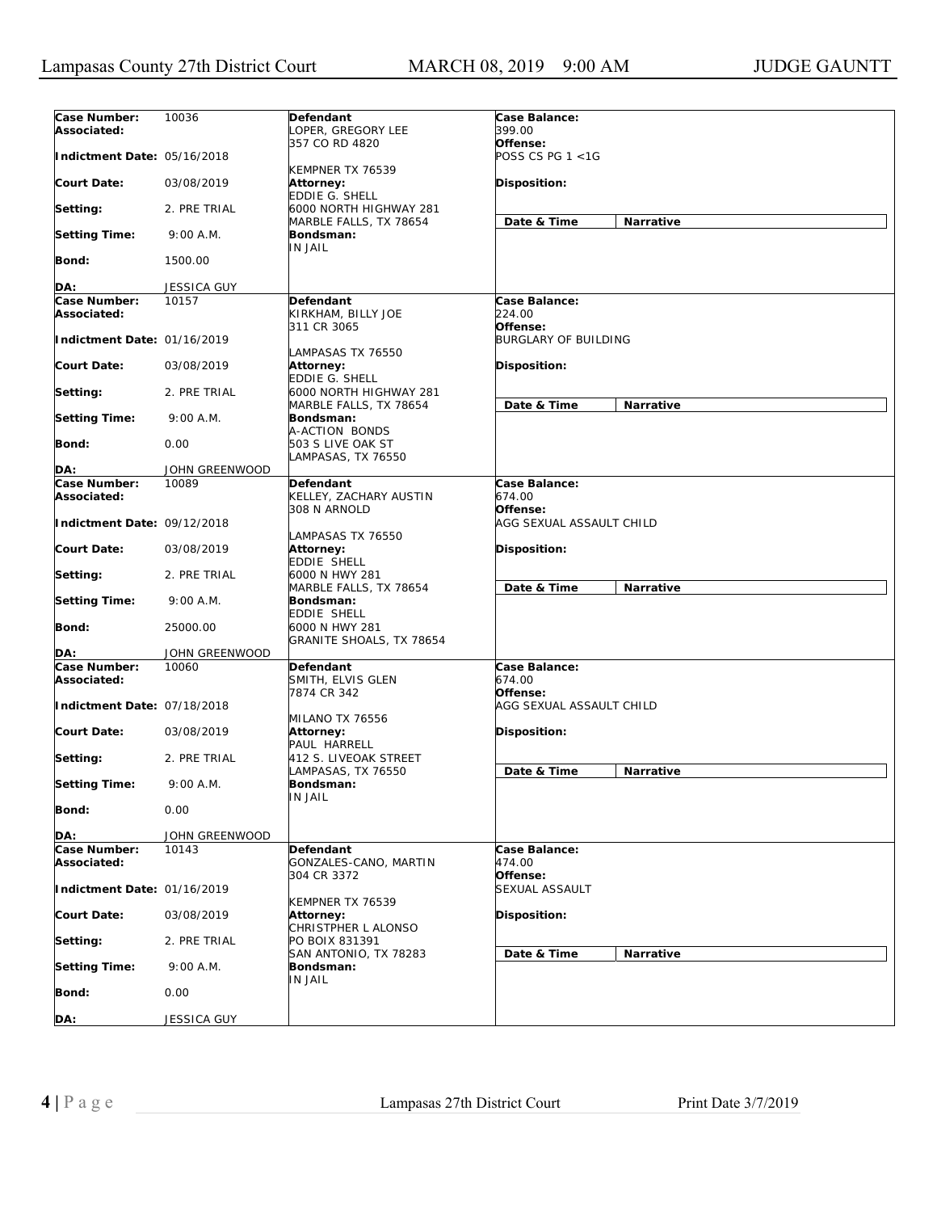| Case Number:<br>Associated: | 10036          | Defendant<br>OPER, GREGORY LEE                       | Case Balance:<br>399.00              |                  |
|-----------------------------|----------------|------------------------------------------------------|--------------------------------------|------------------|
| Indictment Date: 05/16/2018 |                | 357 CO RD 4820                                       | Offense:<br>POSS CS PG 1 <1G         |                  |
| <b>Court Date:</b>          | 03/08/2019     | KEMPNER TX 76539<br>Attorney:<br>EDDIE G. SHELL      | <b>Disposition:</b>                  |                  |
| Setting:                    | 2. PRE TRIAL   | 6000 NORTH HIGHWAY 281<br>MARBLE FALLS, TX 78654     | Date & Time                          | Narrative        |
| <b>Setting Time:</b>        | 9:00 A.M.      | Bondsman:<br><b>IN JAIL</b>                          |                                      |                  |
| Bond:                       | 1500.00        |                                                      |                                      |                  |
| DA:                         | JESSICA GUY    |                                                      |                                      |                  |
| Case Number:                | 10157          | Defendant                                            | Case Balance:                        |                  |
| Associated:                 |                | KIRKHAM, BILLY JOE<br>311 CR 3065                    | 224.00<br>Offense:                   |                  |
| Indictment Date: 01/16/2019 |                | LAMPASAS TX 76550                                    | <b>BURGLARY OF BUILDING</b>          |                  |
| <b>Court Date:</b>          | 03/08/2019     | Attorney:<br>EDDIE G. SHELL                          | <b>Disposition:</b>                  |                  |
| Setting:                    | 2. PRE TRIAL   | 6000 NORTH HIGHWAY 281<br>MARBLE FALLS, TX 78654     | Date & Time                          | Narrative        |
| <b>Setting Time:</b>        | 9:00 A.M.      | Bondsman:<br>A-ACTION BONDS                          |                                      |                  |
| Bond:                       | 0.00           | 503 S LIVE OAK ST<br>LAMPASAS, TX 76550              |                                      |                  |
| DA:                         | JOHN GREENWOOD |                                                      |                                      |                  |
| Case Number:<br>Associated: | 10089          | Defendant<br>KELLEY, ZACHARY AUSTIN                  | Case Balance:<br>674.00              |                  |
| Indictment Date: 09/12/2018 |                | 308 N ARNOLD<br>LAMPASAS TX 76550                    | Offense:<br>AGG SEXUAL ASSAULT CHILD |                  |
| <b>Court Date:</b>          | 03/08/2019     | Attorney:<br>EDDIE SHELL                             | <b>Disposition:</b>                  |                  |
| Setting:                    | 2. PRE TRIAL   | 6000 N HWY 281<br>MARBLE FALLS, TX 78654             | Date & Time                          | Narrative        |
| <b>Setting Time:</b>        | 9:00 A.M.      | Bondsman:<br>EDDIE SHELL                             |                                      |                  |
| <b>Bond:</b>                | 25000.00       | 6000 N HWY 281<br>GRANITE SHOALS, TX 78654           |                                      |                  |
| DA:                         | JOHN GREENWOOD |                                                      |                                      |                  |
| Case Number:<br>Associated: | 10060          | Defendant<br>SMITH, ELVIS GLEN<br>7874 CR 342        | Case Balance:<br>674.00<br>Offense:  |                  |
| Indictment Date: 07/18/2018 |                | MILANO TX 76556                                      | AGG SEXUAL ASSAULT CHILD             |                  |
| <b>Court Date:</b>          | 03/08/2019     | <b>Attorney:</b><br>PAUL HARRELL                     | <b>Disposition:</b>                  |                  |
| Setting:                    | 2. PRE TRIAL   | 412 S. LIVEOAK STREET<br>LAMPASAS, TX 76550          | Date & Time                          | <b>Narrative</b> |
| <b>Setting Time:</b>        | $9:00$ A.M.    | Bondsman:<br>IN JAIL                                 |                                      |                  |
| Bond:                       | 0.00           |                                                      |                                      |                  |
| DA:                         | JOHN GREENWOOD |                                                      |                                      |                  |
| Case Number:<br>Associated: | 10143          | Defendant<br>GONZALES-CANO, MARTIN                   | Case Balance:<br>474.00<br>Offense:  |                  |
| Indictment Date: 01/16/2019 |                | 304 CR 3372                                          | SEXUAL ASSAULT                       |                  |
| <b>Court Date:</b>          | 03/08/2019     | KEMPNER TX 76539<br>Attorney:<br>CHRISTPHER L ALONSO | Disposition:                         |                  |
| Setting:                    | 2. PRE TRIAL   | PO BOIX 831391                                       |                                      |                  |
| <b>Setting Time:</b>        | 9:00 A.M.      | SAN ANTONIO, TX 78283<br>Bondsman:                   | Date & Time                          | Narrative        |
| Bond:                       | 0.00           | IN JAIL                                              |                                      |                  |
| DA:                         | JESSICA GUY    |                                                      |                                      |                  |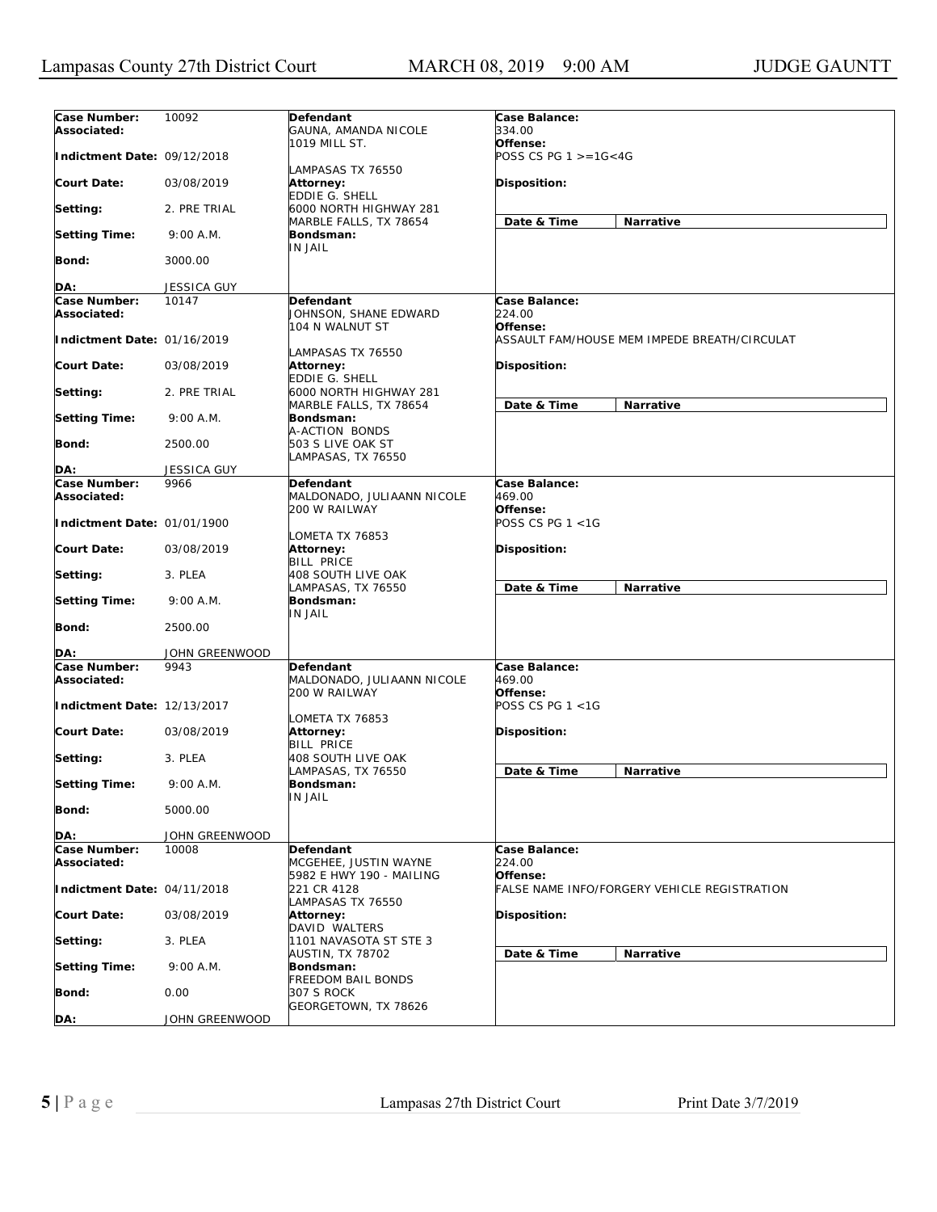| Case Number:<br>Associated:        | 10092              | Defendant<br>GAUNA, AMANDA NICOLE                            | Case Balance:<br>334.00                                  |
|------------------------------------|--------------------|--------------------------------------------------------------|----------------------------------------------------------|
| Indictment Date: 09/12/2018        |                    | 1019 MILL ST.<br>LAMPASAS TX 76550                           | Offense:<br>POSS CS PG $1 > = 16 < 4G$                   |
| <b>Court Date:</b>                 | 03/08/2019         | Attorney:<br>EDDIE G. SHELL                                  | Disposition:                                             |
| Setting:                           | 2. PRE TRIAL       | 6000 NORTH HIGHWAY 281                                       | Narrative                                                |
| <b>Setting Time:</b>               | 9:00 A.M.          | MARBLE FALLS, TX 78654<br>Bondsman:                          | Date & Time                                              |
| <b>Bond:</b>                       | 3000.00            | <b>IN JAIL</b>                                               |                                                          |
| DA:                                | <b>JESSICA GUY</b> |                                                              |                                                          |
| Case Number:                       | 10147              | Defendant                                                    | Case Balance:                                            |
| Associated:                        |                    | JOHNSON, SHANE EDWARD<br>104 N WALNUT ST                     | 224.00<br>Offense:                                       |
| Indictment Date: 01/16/2019        |                    | LAMPASAS TX 76550                                            | ASSAULT FAM/HOUSE MEM IMPEDE BREATH/CIRCULAT             |
| <b>Court Date:</b>                 | 03/08/2019         | <b>Attorney:</b><br>EDDIE G. SHELL                           | Disposition:                                             |
| Setting:                           | 2. PRE TRIAL       | 6000 NORTH HIGHWAY 281<br>MARBLE FALLS, TX 78654             | Date & Time<br>Narrative                                 |
| <b>Setting Time:</b>               | $9:00$ A.M.        | Bondsman:<br>A-ACTION BONDS                                  |                                                          |
| <b>Bond:</b>                       | 2500.00            | 503 S LIVE OAK ST<br>LAMPASAS, TX 76550                      |                                                          |
| DA:                                | <b>JESSICA GUY</b> |                                                              |                                                          |
| Case Number:                       | 9966               | Defendant                                                    | Case Balance:                                            |
| Associated:                        |                    | MALDONADO, JULIAANN NICOLE                                   | 469.00                                                   |
| Indictment Date: 01/01/1900        |                    | 200 W RAILWAY                                                | Offense:<br>POSS CS PG 1 <1G                             |
| <b>Court Date:</b>                 | 03/08/2019         | LOMETA TX 76853<br>Attorney:<br><b>BILL PRICE</b>            | <b>Disposition:</b>                                      |
| Setting:                           | 3. PLEA            | 408 SOUTH LIVE OAK<br>LAMPASAS, TX 76550                     | Date & Time<br>Narrative                                 |
| <b>Setting Time:</b>               | 9:00 A.M.          | Bondsman:<br>IN JAIL                                         |                                                          |
| <b>Bond:</b>                       | 2500.00            |                                                              |                                                          |
| DA:                                | JOHN GREENWOOD     |                                                              |                                                          |
| <b>Case Number:</b><br>Associated: | 9943               | Defendant<br>MALDONADO, JULIAANN NICOLE<br>200 W RAILWAY     | Case Balance:<br>469.00<br>Offense:                      |
| Indictment Date: 12/13/2017        |                    |                                                              | POSS CS PG 1 <1G                                         |
| <b>Court Date:</b>                 | 03/08/2019         | LOMETA TX 76853<br>Attorney:<br><b>BILL PRICE</b>            | <b>Disposition:</b>                                      |
| Setting:                           | 3. PLEA            | <b>408 SOUTH LIVE OAK</b><br>LAMPASAS, TX 76550              | Date & Time<br>Narrative                                 |
| <b>Setting Time:</b>               | 9:00 A.M.          | Bondsman:<br>IN JAIL                                         |                                                          |
| <b>Bond:</b>                       | 5000.00            |                                                              |                                                          |
| DA:                                | JOHN GREENWOOD     |                                                              |                                                          |
| Case Number:<br>Associated:        | 10008              | Defendant<br>MCGEHEE, JUSTIN WAYNE                           | Case Balance:<br>224.00                                  |
| Indictment Date: 04/11/2018        |                    | 5982 E HWY 190 - MAILING<br>221 CR 4128<br>LAMPASAS TX 76550 | Offense:<br>FALSE NAME INFO/FORGERY VEHICLE REGISTRATION |
| <b>Court Date:</b>                 | 03/08/2019         | Attorney:<br>DAVID WALTERS                                   | Disposition:                                             |
| Setting:                           | 3. PLEA            | 1101 NAVASOTA ST STE 3<br>AUSTIN, TX 78702                   |                                                          |
| <b>Setting Time:</b>               | 9:00 A.M.          | Bondsman:                                                    | Date & Time<br>Narrative                                 |
| <b>Bond:</b>                       | 0.00               | <b>FREEDOM BAIL BONDS</b><br>307 S ROCK                      |                                                          |
| DA:                                | JOHN GREENWOOD     | GEORGETOWN, TX 78626                                         |                                                          |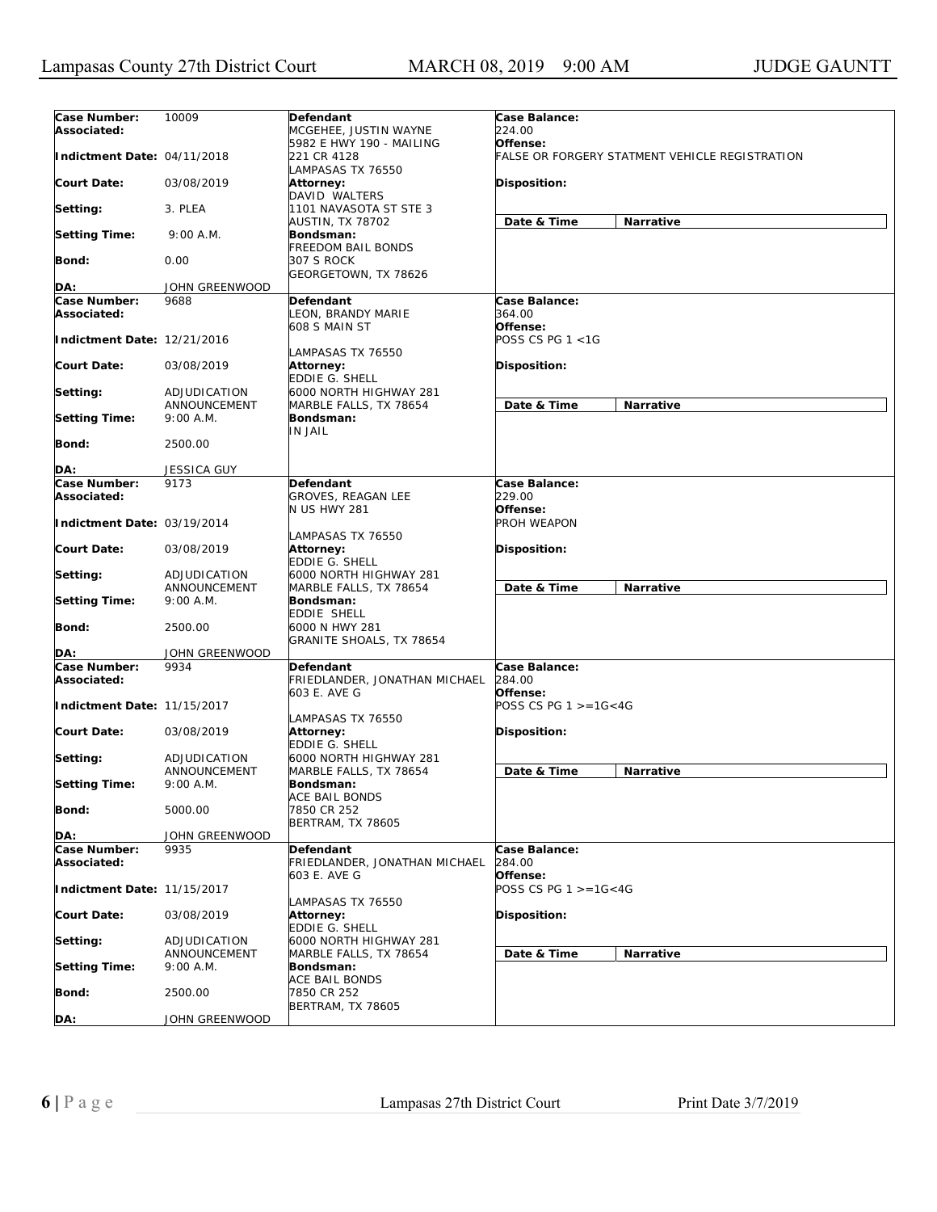| Case Number:<br>Associated: | 10009                        | Defendant<br>MCGEHEE, JUSTIN WAYNE                        | Case Balance:<br>224.00                                    |                  |
|-----------------------------|------------------------------|-----------------------------------------------------------|------------------------------------------------------------|------------------|
| Indictment Date: 04/11/2018 |                              | 5982 E HWY 190 - MAILING<br>221 CR 4128                   | Offense:<br>FALSE OR FORGERY STATMENT VEHICLE REGISTRATION |                  |
| <b>Court Date:</b>          | 03/08/2019                   | LAMPASAS TX 76550<br>Attorney:                            | <b>Disposition:</b>                                        |                  |
| Setting:                    | 3. PLEA                      | <b>DAVID WALTERS</b><br>1101 NAVASOTA ST STE 3            |                                                            |                  |
| <b>Setting Time:</b>        | 9:00 A.M.                    | <b>AUSTIN, TX 78702</b><br>Bondsman:                      | Date & Time                                                | <b>Narrative</b> |
| Bond:                       | 0.00                         | FREEDOM BAIL BONDS<br>307 S ROCK                          |                                                            |                  |
|                             |                              | GEORGETOWN, TX 78626                                      |                                                            |                  |
| DA:                         | JOHN GREENWOOD               |                                                           |                                                            |                  |
| Case Number:                | 9688                         | Defendant                                                 | Case Balance:                                              |                  |
| Associated:                 |                              | LEON, BRANDY MARIE<br>608 S MAIN ST                       | 364.00<br>Offense:                                         |                  |
| Indictment Date: 12/21/2016 |                              | LAMPASAS TX 76550                                         | POSS CS PG 1 <1G                                           |                  |
| <b>Court Date:</b>          | 03/08/2019                   | Attorney:<br>EDDIE G. SHELL                               | <b>Disposition:</b>                                        |                  |
| Setting:                    | ADJUDICATION                 | 6000 NORTH HIGHWAY 281                                    |                                                            |                  |
| <b>Setting Time:</b>        | ANNOUNCEMENT<br>$9:00$ A.M.  | MARBLE FALLS, TX 78654<br>Bondsman:                       | Date & Time                                                | <b>Narrative</b> |
| Bond:                       | 2500.00                      | IN JAIL                                                   |                                                            |                  |
| DA:                         | <b>JESSICA GUY</b>           |                                                           |                                                            |                  |
| Case Number:                | 9173                         | Defendant                                                 | Case Balance:                                              |                  |
| Associated:                 |                              | <b>GROVES, REAGAN LEE</b>                                 | 229.00                                                     |                  |
| Indictment Date: 03/19/2014 |                              | <b>N US HWY 281</b>                                       | Offense:<br>PROH WEAPON                                    |                  |
| <b>Court Date:</b>          | 03/08/2019                   | LAMPASAS TX 76550<br><b>Attorney:</b><br>EDDIE G. SHELL   | <b>Disposition:</b>                                        |                  |
| Setting:                    | ADJUDICATION                 | 6000 NORTH HIGHWAY 281                                    |                                                            |                  |
|                             | ANNOUNCEMENT                 | MARBLE FALLS, TX 78654                                    | Date & Time                                                | Narrative        |
| <b>Setting Time:</b>        | 9:00 A.M.                    | Bondsman:                                                 |                                                            |                  |
|                             |                              | EDDIE SHELL                                               |                                                            |                  |
| Bond:                       | 2500.00                      | 6000 N HWY 281<br>GRANITE SHOALS, TX 78654                |                                                            |                  |
| DA:                         | JOHN GREENWOOD               |                                                           |                                                            |                  |
| Case Number:<br>Associated: | 9934                         | Defendant<br>FRIEDLANDER, JONATHAN MICHAEL                | Case Balance:<br>284.00                                    |                  |
| Indictment Date: 11/15/2017 |                              | 603 E. AVE G                                              | Offense:<br>POSS CS PG $1 > = 16 < 4G$                     |                  |
|                             |                              | LAMPASAS TX 76550                                         |                                                            |                  |
| <b>Court Date:</b>          | 03/08/2019                   | Attorney:<br>EDDIE G. SHELL                               | Disposition:                                               |                  |
| Setting:                    | ADJUDICATION<br>ANNOUNCEMENT | 6000 NORTH HIGHWAY 281<br>MARBLE FALLS, TX 78654          | Date & Time                                                | Narrative        |
| <b>Setting Time:</b>        | 9:00 A.M.                    | Bondsman:                                                 |                                                            |                  |
| Bond:                       | 5000.00                      | ACE BAIL BONDS<br>7850 CR 252<br><b>BERTRAM, TX 78605</b> |                                                            |                  |
| DA:                         | JOHN GREENWOOD               |                                                           |                                                            |                  |
| Case Number:<br>Associated: | 9935                         | Defendant<br>FRIEDLANDER, JONATHAN MICHAEL                | Case Balance:<br>284.00                                    |                  |
| Indictment Date: 11/15/2017 |                              | 603 E. AVE G                                              | Offense:<br>POSS CS PG $1 > = 16 < 4G$                     |                  |
| Court Date:                 | 03/08/2019                   | LAMPASAS TX 76550<br>Attorney:<br>EDDIE G. SHELL          | Disposition:                                               |                  |
| Setting:                    | ADJUDICATION                 | 6000 NORTH HIGHWAY 281                                    |                                                            |                  |
| <b>Setting Time:</b>        | ANNOUNCEMENT<br>9:00 A.M.    | MARBLE FALLS, TX 78654<br>Bondsman:                       | Date & Time                                                | Narrative        |
| <b>Bond:</b>                | 2500.00                      | ACE BAIL BONDS<br>7850 CR 252<br>BERTRAM, TX 78605        |                                                            |                  |
| DA:                         | JOHN GREENWOOD               |                                                           |                                                            |                  |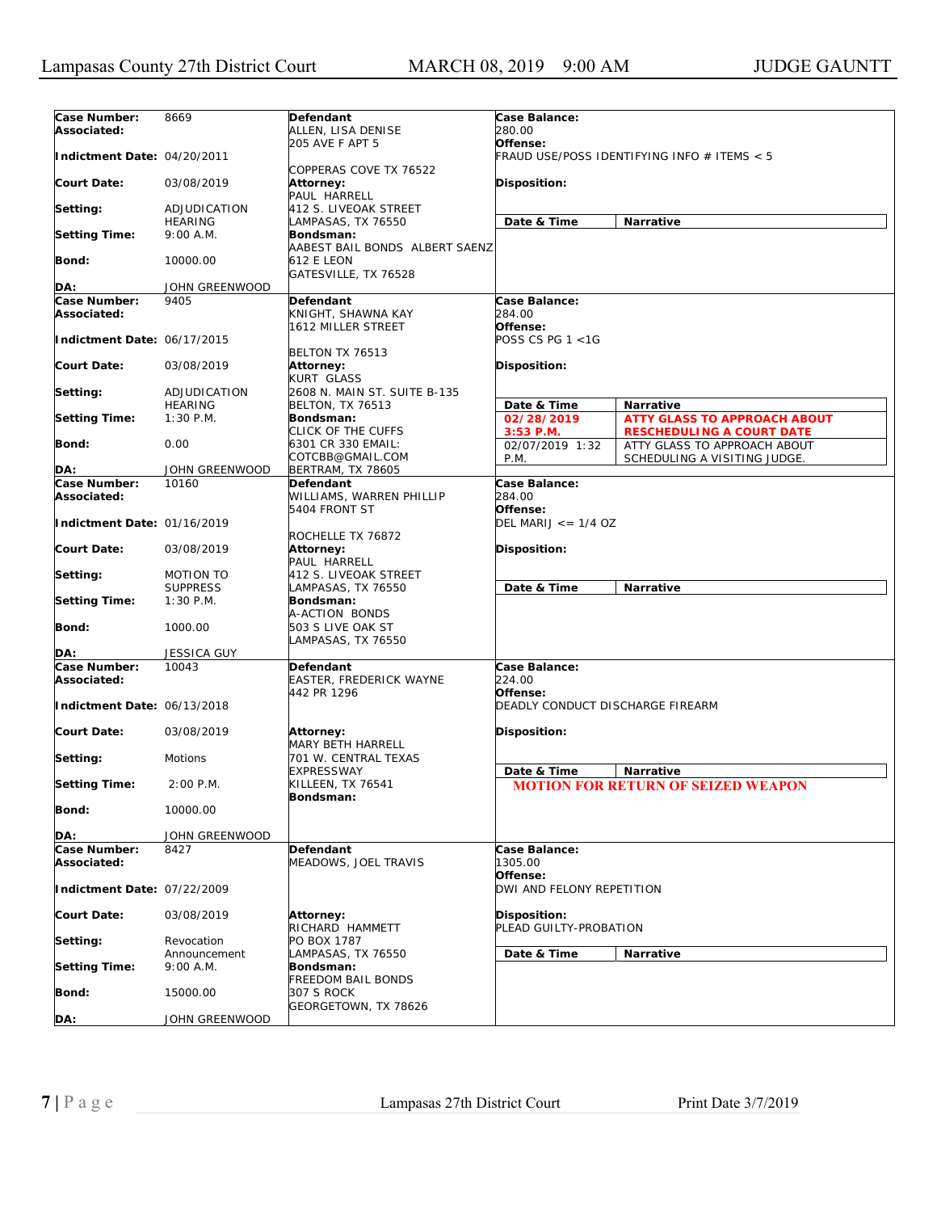| Case Number:                | 8669               | Defendant                      | Case Balance:                           |                                             |  |
|-----------------------------|--------------------|--------------------------------|-----------------------------------------|---------------------------------------------|--|
| Associated:                 |                    | ALLEN, LISA DENISE             | 280.00                                  |                                             |  |
|                             |                    | 205 AVE F APT 5                | Offense:                                |                                             |  |
| Indictment Date: 04/20/2011 |                    |                                |                                         | FRAUD USE/POSS IDENTIFYING INFO # ITEMS < 5 |  |
|                             |                    | COPPERAS COVE TX 76522         |                                         |                                             |  |
| <b>Court Date:</b>          | 03/08/2019         | <b>Attorney:</b>               | Disposition:                            |                                             |  |
|                             |                    | PAUL HARRELL                   |                                         |                                             |  |
|                             | ADJUDICATION       | 412 S. LIVEOAK STREET          |                                         |                                             |  |
| Setting:                    |                    |                                |                                         |                                             |  |
|                             | <b>HEARING</b>     | LAMPASAS, TX 76550             | Date & Time                             | Narrative                                   |  |
| <b>Setting Time:</b>        | 9:00 A.M.          | Bondsman:                      |                                         |                                             |  |
|                             |                    | AABEST BAIL BONDS ALBERT SAENZ |                                         |                                             |  |
| <b>Bond:</b>                | 10000.00           | <b>612 E LEON</b>              |                                         |                                             |  |
|                             |                    | GATESVILLE, TX 76528           |                                         |                                             |  |
| DA:                         | JOHN GREENWOOD     |                                |                                         |                                             |  |
| Case Number:                | 9405               | Defendant                      | Case Balance:                           |                                             |  |
| Associated:                 |                    | KNIGHT, SHAWNA KAY             | 284.00                                  |                                             |  |
|                             |                    | 1612 MILLER STREET             | Offense:                                |                                             |  |
| Indictment Date: 06/17/2015 |                    |                                | POSS CS PG 1 <1G                        |                                             |  |
|                             |                    | BELTON TX 76513                |                                         |                                             |  |
|                             |                    |                                |                                         |                                             |  |
| <b>Court Date:</b>          | 03/08/2019         | <b>Attorney:</b>               | <b>Disposition:</b>                     |                                             |  |
|                             |                    | <b>KURT GLASS</b>              |                                         |                                             |  |
| Setting:                    | ADJUDICATION       | 2608 N. MAIN ST. SUITE B-135   |                                         |                                             |  |
|                             | <b>HEARING</b>     | <b>BELTON, TX 76513</b>        | Date & Time                             | <b>Narrative</b>                            |  |
| <b>Setting Time:</b>        | $1:30$ P.M.        | Bondsman:                      | 02/28/2019                              | <b>ATTY GLASS TO APPROACH ABOUT</b>         |  |
|                             |                    | CLICK OF THE CUFFS             | $3:53$ P.M.                             | <b>RESCHEDULING A COURT DATE</b>            |  |
| <b>Bond:</b>                | 0.00               | 6301 CR 330 EMAIL:             | 02/07/2019 1:32                         | ATTY GLASS TO APPROACH ABOUT                |  |
|                             |                    | COTCBB@GMAIL.COM               | P.M.                                    | SCHEDULING A VISITING JUDGE.                |  |
| DA:                         | JOHN GREENWOOD     | BERTRAM, TX 78605              |                                         |                                             |  |
| Case Number:                | 10160              | Defendant                      | Case Balance:                           |                                             |  |
| Associated:                 |                    | WILLIAMS, WARREN PHILLIP       | 284.00                                  |                                             |  |
|                             |                    | 5404 FRONT ST                  | Offense:                                |                                             |  |
| Indictment Date: 01/16/2019 |                    |                                | DEL MARIJ $\leq$ = 1/4 OZ               |                                             |  |
|                             |                    |                                |                                         |                                             |  |
|                             |                    | ROCHELLE TX 76872              |                                         |                                             |  |
| <b>Court Date:</b>          | 03/08/2019         | <b>Attorney:</b>               | <b>Disposition:</b>                     |                                             |  |
|                             |                    | PAUL HARRELL                   |                                         |                                             |  |
| Setting:                    | <b>MOTION TO</b>   | 412 S. LIVEOAK STREET          |                                         |                                             |  |
|                             | <b>SUPPRESS</b>    | LAMPASAS, TX 76550             | Date & Time                             | Narrative                                   |  |
| <b>Setting Time:</b>        | $1:30$ P.M.        | Bondsman:                      |                                         |                                             |  |
|                             |                    | A-ACTION BONDS                 |                                         |                                             |  |
| <b>Bond:</b>                | 1000.00            | 503 S LIVE OAK ST              |                                         |                                             |  |
|                             |                    | LAMPASAS, TX 76550             |                                         |                                             |  |
| DA:                         | <b>JESSICA GUY</b> |                                |                                         |                                             |  |
| Case Number:                | 10043              | Defendant                      | Case Balance:                           |                                             |  |
|                             |                    |                                |                                         |                                             |  |
| Associated:                 |                    | EASTER, FREDERICK WAYNE        | 224.00                                  |                                             |  |
|                             |                    | 442 PR 1296                    | Offense:                                |                                             |  |
| Indictment Date: 06/13/2018 |                    |                                | <b>DEADLY CONDUCT DISCHARGE FIREARM</b> |                                             |  |
|                             |                    |                                |                                         |                                             |  |
| <b>Court Date:</b>          | 03/08/2019         | <b>Attorney:</b>               | <b>Disposition:</b>                     |                                             |  |
|                             |                    | <b>MARY BETH HARRELL</b>       |                                         |                                             |  |
| Setting:                    | Motions            | 701 W. CENTRAL TEXAS           |                                         |                                             |  |
|                             |                    | <b>EXPRESSWAY</b>              | Date & Time                             | Narrative                                   |  |
| <b>Setting Time:</b>        | $2:00$ P.M.        | KILLEEN, TX 76541              |                                         | <b>MOTION FOR RETURN OF SEIZED WEAPON</b>   |  |
|                             |                    | Bondsman:                      |                                         |                                             |  |
| <b>Bond:</b>                | 10000.00           |                                |                                         |                                             |  |
|                             |                    |                                |                                         |                                             |  |
| DA:                         | JOHN GREENWOOD     |                                |                                         |                                             |  |
|                             |                    |                                |                                         |                                             |  |
| Case Number:                | 8427               | Defendant                      | Case Balance:                           |                                             |  |
| Associated:                 |                    | MEADOWS, JOEL TRAVIS           | 1305.00                                 |                                             |  |
|                             |                    |                                | Offense:                                |                                             |  |
| Indictment Date: 07/22/2009 |                    |                                | DWI AND FELONY REPETITION               |                                             |  |
|                             |                    |                                |                                         |                                             |  |
| <b>Court Date:</b>          | 03/08/2019         | <b>Attorney:</b>               | Disposition:                            |                                             |  |
|                             |                    | RICHARD HAMMETT                | PLEAD GUILTY-PROBATION                  |                                             |  |
| Setting:                    | Revocation         | PO BOX 1787                    |                                         |                                             |  |
|                             | Announcement       | LAMPASAS, TX 76550             | Date & Time                             | <b>Narrative</b>                            |  |
| <b>Setting Time:</b>        | 9:00 A.M.          | Bondsman:                      |                                         |                                             |  |
|                             |                    | <b>FREEDOM BAIL BONDS</b>      |                                         |                                             |  |
| <b>Bond:</b>                | 15000.00           | 307 S ROCK                     |                                         |                                             |  |
|                             |                    | GEORGETOWN, TX 78626           |                                         |                                             |  |
| DA:                         | JOHN GREENWOOD     |                                |                                         |                                             |  |
|                             |                    |                                |                                         |                                             |  |